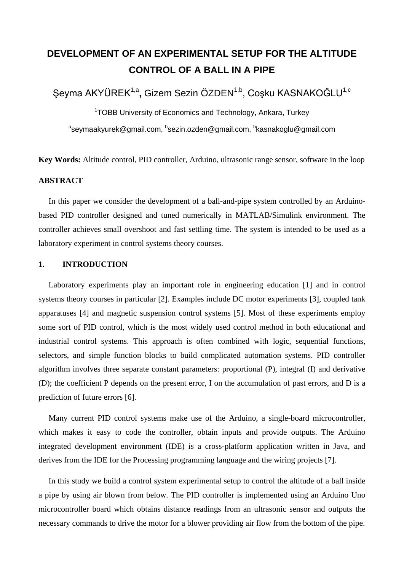# **DEVELOPMENT OF AN EXPERIMENTAL SETUP FOR THE ALTITUDE CONTROL OF A BALL IN A PIPE**

Şeyma AKYÜREK<sup>1,a</sup>, Gizem Sezin ÖZDEN<sup>1,b</sup>, Coşku KASNAKOĞLU<sup>1,c</sup>

<sup>1</sup>TOBB University of Economics and Technology, Ankara, Turkey <sup>a</sup>seymaakyurek@gmail.com, <sup>b</sup>sezin.ozden@gmail.com, <sup>b</sup>kasnakoglu@gmail.com

**Key Words:** Altitude control, PID controller, Arduino, ultrasonic range sensor, software in the loop

### **ABSTRACT**

 In this paper we consider the development of a ball-and-pipe system controlled by an Arduinobased PID controller designed and tuned numerically in MATLAB/Simulink environment. The controller achieves small overshoot and fast settling time. The system is intended to be used as a laboratory experiment in control systems theory courses.

# **1. INTRODUCTION**

 Laboratory experiments play an important role in engineering education [1] and in control systems theory courses in particular [2]. Examples include DC motor experiments [3], coupled tank apparatuses [4] and magnetic suspension control systems [5]. Most of these experiments employ some sort of PID control, which is the most widely used control method in both educational and industrial control systems. This approach is often combined with logic, sequential functions, selectors, and simple function blocks to build complicated automation systems. PID controller algorithm involves three separate constant parameters: proportional (P), integral (I) and derivative (D); the coefficient P depends on the present error, I on the accumulation of past errors, and D is a prediction of future errors [6].

 Many current PID control systems make use of the Arduino, a single-board microcontroller, which makes it easy to code the controller, obtain inputs and provide outputs. The Arduino integrated development environment (IDE) is a cross-platform application written in Java, and derives from the IDE for the Processing programming language and the wiring projects [7].

 In this study we build a control system experimental setup to control the altitude of a ball inside a pipe by using air blown from below. The PID controller is implemented using an Arduino Uno microcontroller board which obtains distance readings from an ultrasonic sensor and outputs the necessary commands to drive the motor for a blower providing air flow from the bottom of the pipe.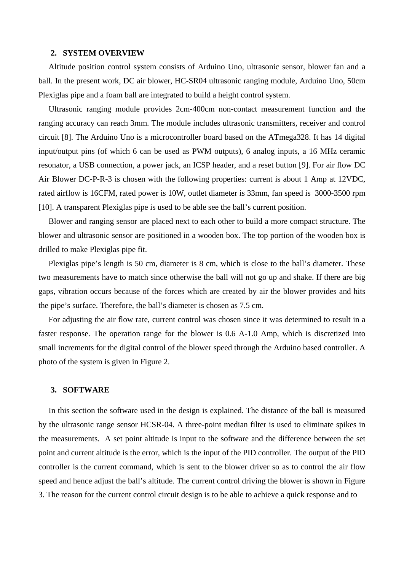#### **2. SYSTEM OVERVIEW**

 Altitude position control system consists of Arduino Uno, ultrasonic sensor, blower fan and a ball. In the present work, DC air blower, HC-SR04 ultrasonic ranging module, Arduino Uno, 50cm Plexiglas pipe and a foam ball are integrated to build a height control system.

 Ultrasonic ranging module provides 2cm-400cm non-contact measurement function and the ranging accuracy can reach 3mm. The module includes ultrasonic transmitters, receiver and control circuit [8]. The Arduino Uno is a microcontroller board based on the ATmega328. It has 14 digital input/output pins (of which 6 can be used as PWM outputs), 6 analog inputs, a 16 MHz ceramic resonator, a USB connection, a power jack, an ICSP header, and a reset button [9]. For air flow DC Air Blower DC-P-R-3 is chosen with the following properties: current is about 1 Amp at 12VDC, rated airflow is 16CFM, rated power is 10W, outlet diameter is 33mm, fan speed is 3000-3500 rpm [10]. A transparent Plexiglas pipe is used to be able see the ball's current position.

 Blower and ranging sensor are placed next to each other to build a more compact structure. The blower and ultrasonic sensor are positioned in a wooden box. The top portion of the wooden box is drilled to make Plexiglas pipe fit.

 Plexiglas pipe's length is 50 cm, diameter is 8 cm, which is close to the ball's diameter. These two measurements have to match since otherwise the ball will not go up and shake. If there are big gaps, vibration occurs because of the forces which are created by air the blower provides and hits the pipe's surface. Therefore, the ball's diameter is chosen as 7.5 cm.

 For adjusting the air flow rate, current control was chosen since it was determined to result in a faster response. The operation range for the blower is 0.6 A-1.0 Amp, which is discretized into small increments for the digital control of the blower speed through the Arduino based controller. A photo of the system is given in Figure 2.

## **3. SOFTWARE**

 In this section the software used in the design is explained. The distance of the ball is measured by the ultrasonic range sensor HCSR-04. A three-point median filter is used to eliminate spikes in the measurements. A set point altitude is input to the software and the difference between the set point and current altitude is the error, which is the input of the PID controller. The output of the PID controller is the current command, which is sent to the blower driver so as to control the air flow speed and hence adjust the ball's altitude. The current control driving the blower is shown in Figure 3. The reason for the current control circuit design is to be able to achieve a quick response and to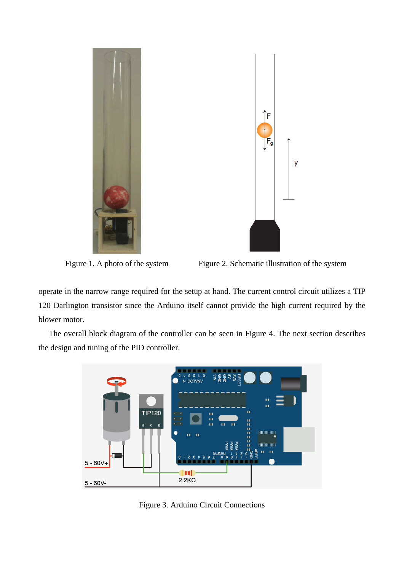



Figure 1. A photo of the system Figure 2. Schematic illustration of the system

operate in the narrow range required for the setup at hand. The current control circuit utilizes a TIP 120 Darlington transistor since the Arduino itself cannot provide the high current required by the blower motor.

 The overall block diagram of the controller can be seen in Figure 4. The next section describes the design and tuning of the PID controller.



Figure 3. Arduino Circuit Connections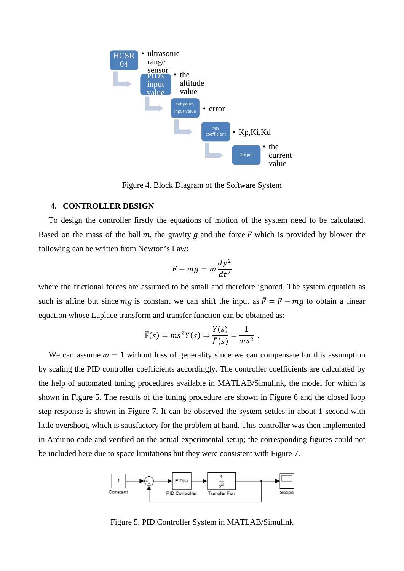

Figure 4. Block Diagram of the Software System

## **4. CONTROLLER DESIGN**

 To design the controller firstly the equations of motion of the system need to be calculated. Based on the mass of the ball m, the gravity g and the force  $F$  which is provided by blower the following can be written from Newton's Law:

$$
F - mg = m\frac{dy^2}{dt^2}
$$

where the frictional forces are assumed to be small and therefore ignored. The system equation as such is affine but since  $mg$  is constant we can shift the input as  $\bar{F} = F - mg$  to obtain a linear equation whose Laplace transform and transfer function can be obtained as:

$$
\overline{F}(s) = ms^2 Y(s) \Rightarrow \frac{Y(s)}{\overline{F}(s)} = \frac{1}{ms^2} .
$$

We can assume  $m = 1$  without loss of generality since we can compensate for this assumption by scaling the PID controller coefficients accordingly. The controller coefficients are calculated by the help of automated tuning procedures available in MATLAB/Simulink, the model for which is shown in Figure 5. The results of the tuning procedure are shown in Figure 6 and the closed loop step response is shown in Figure 7. It can be observed the system settles in about 1 second with little overshoot, which is satisfactory for the problem at hand. This controller was then implemented in Arduino code and verified on the actual experimental setup; the corresponding figures could not be included here due to space limitations but they were consistent with Figure 7.



Figure 5. PID Controller System in MATLAB/Simulink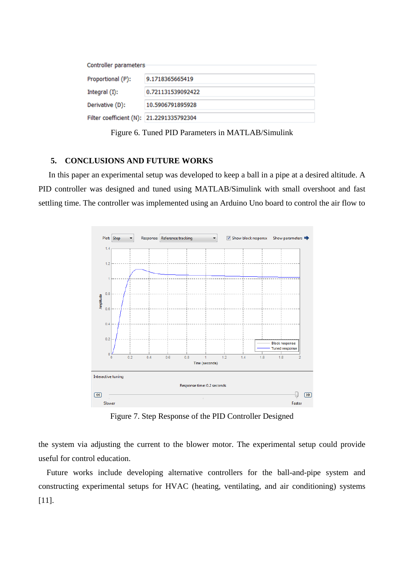| Controller parameters                    |                   |
|------------------------------------------|-------------------|
| Proportional (P):                        | 9.1718365665419   |
| Integral $(I)$ :                         | 0.721131539092422 |
| Derivative (D):                          | 10.5906791895928  |
| Filter coefficient (N): 21.2291335792304 |                   |

Figure 6. Tuned PID Parameters in MATLAB/Simulink

# **5. CONCLUSIONS AND FUTURE WORKS**

 In this paper an experimental setup was developed to keep a ball in a pipe at a desired altitude. A PID controller was designed and tuned using MATLAB/Simulink with small overshoot and fast settling time. The controller was implemented using an Arduino Uno board to control the air flow to



Figure 7. Step Response of the PID Controller Designed

the system via adjusting the current to the blower motor. The experimental setup could provide useful for control education.

 Future works include developing alternative controllers for the ball-and-pipe system and constructing experimental setups for HVAC (heating, ventilating, and air conditioning) systems [11].